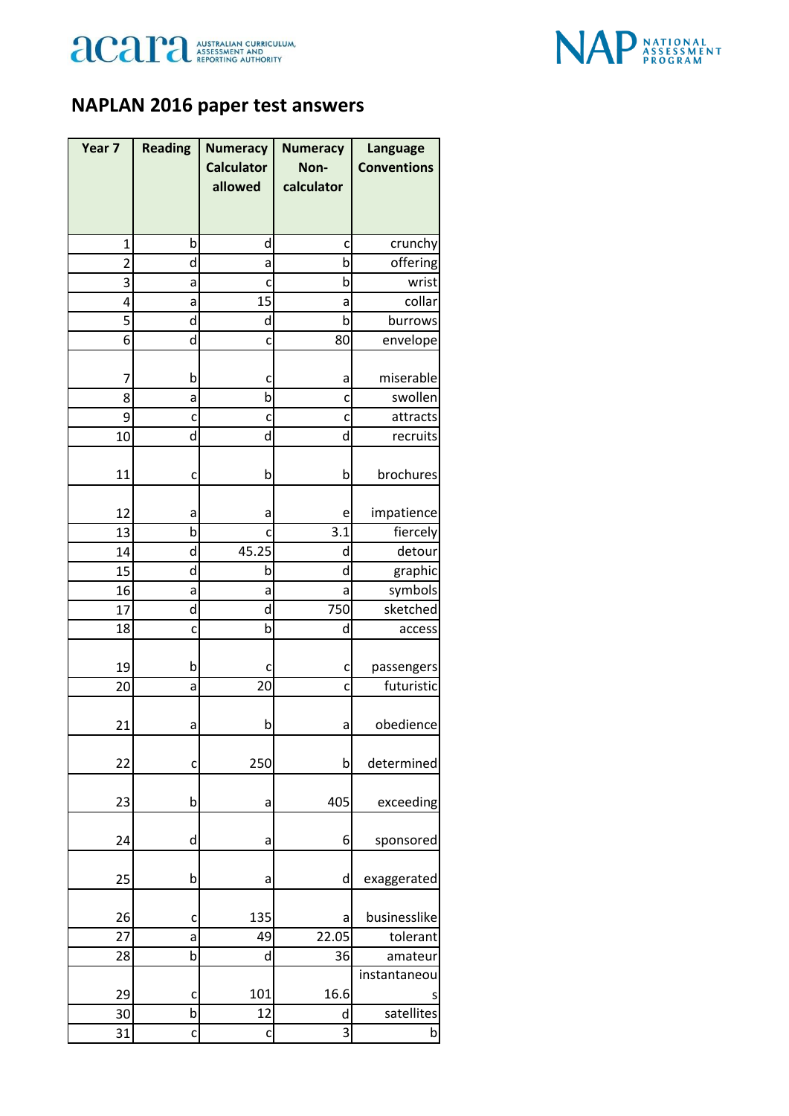



## **NAPLAN 2016 paper test answers**

| Year 7 | <b>Reading</b> | <b>Numeracy</b>   | <b>Numeracy</b> | Language           |
|--------|----------------|-------------------|-----------------|--------------------|
|        |                | <b>Calculator</b> | Non-            | <b>Conventions</b> |
|        |                | allowed           | calculator      |                    |
|        |                |                   |                 |                    |
| 1      | b              | d                 | C               | crunchy            |
| 2      | d              | а                 | b               | offering           |
| 3      | a              | c                 | b               | wrist              |
| 4      | a              | 15                | a               | collar             |
| 5      | d              | d                 | þ               | burrows            |
| 6      | d              | c                 | 80              | envelope           |
| 7      | b              |                   | a               | miserable          |
| 8      | а              | c<br>b            | c               | swollen            |
| 9      | c              | C                 | c               | attracts           |
| 10     | d              | d                 | d               | recruits           |
|        |                |                   |                 |                    |
| 11     | c              | b                 | b               | brochures          |
| 12     | а              | а                 | e               | impatience         |
| 13     | $\mathsf b$    | c                 | 3.1             | fiercely           |
| 14     | d              | 45.25             | d               | detour             |
| 15     | d              | b                 | d               | graphic            |
| 16     | а              | а                 | а               | symbols            |
| 17     | d              | d                 | 750             | sketched           |
| 18     | C              | b                 | d               | access             |
|        |                |                   |                 |                    |
| 19     | b              | c                 | c               | passengers         |
| 20     | а              | 20                | c               | futuristic         |
| 21     | a              | b                 | a               | obedience          |
| 22     | C              | 250               | b               | determined         |
| 23     | b              | а                 | 405             | exceeding          |
| 24     | d              | а                 | 6               | sponsored          |
| 25     | b              | a                 | d               | exaggerated        |
|        |                |                   |                 |                    |
| 26     | c              | 135               | a               | businesslike       |
| 27     | a              | 49                | 22.05           | tolerant           |
| 28     | b              | d                 | 36              | amateur            |
|        |                |                   |                 | instantaneou       |
| 29     | c              | 101               | 16.6            |                    |
| 30     | b              | 12                | d               | satellites         |
| 31     | $\mathsf{C}$   | C                 | 3               | b                  |